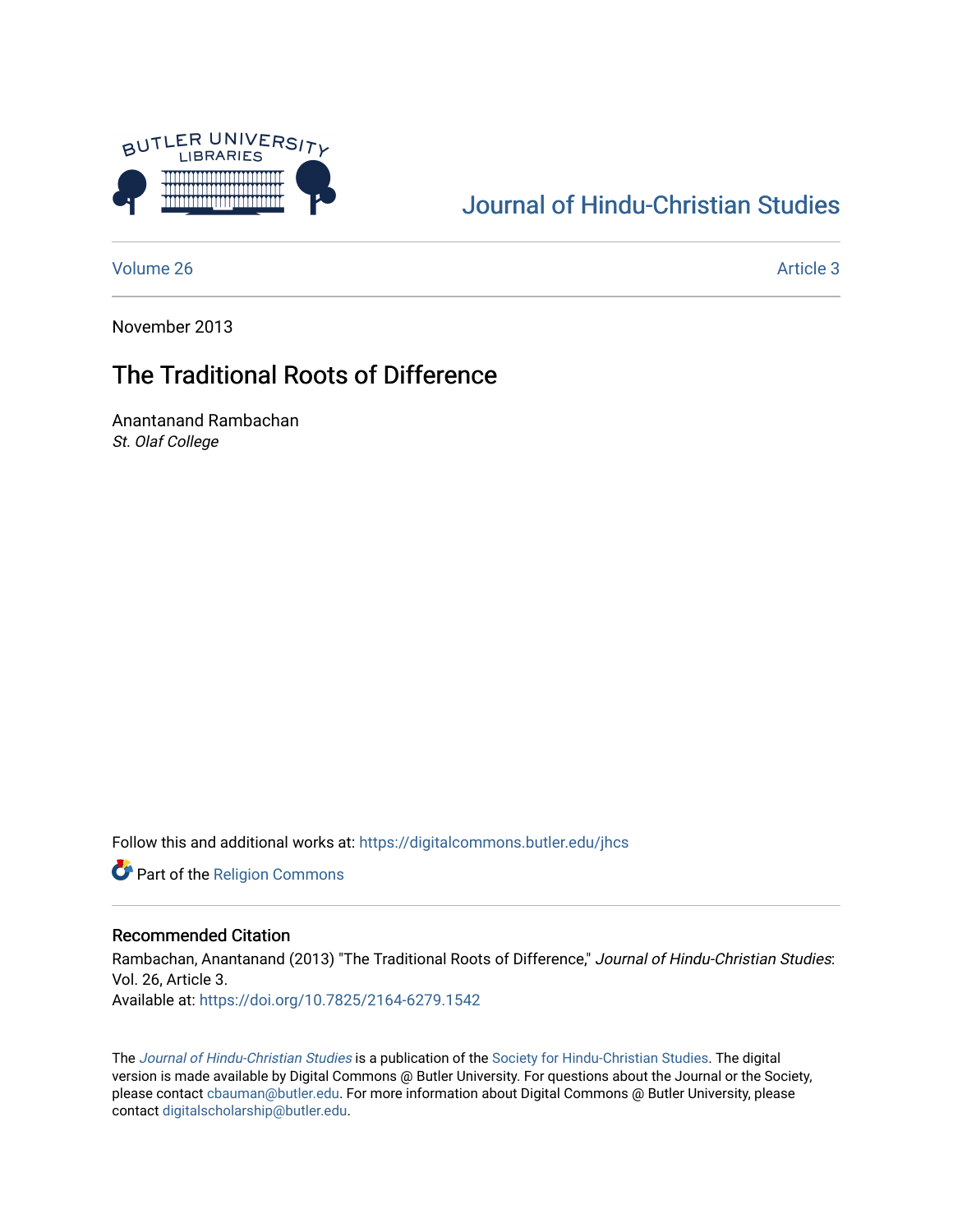

## [Journal of Hindu-Christian Studies](https://digitalcommons.butler.edu/jhcs)

[Volume 26](https://digitalcommons.butler.edu/jhcs/vol26) Article 3

November 2013

### The Traditional Roots of Difference

Anantanand Rambachan St. Olaf College

Follow this and additional works at: [https://digitalcommons.butler.edu/jhcs](https://digitalcommons.butler.edu/jhcs?utm_source=digitalcommons.butler.edu%2Fjhcs%2Fvol26%2Fiss1%2F3&utm_medium=PDF&utm_campaign=PDFCoverPages)

Part of the [Religion Commons](http://network.bepress.com/hgg/discipline/538?utm_source=digitalcommons.butler.edu%2Fjhcs%2Fvol26%2Fiss1%2F3&utm_medium=PDF&utm_campaign=PDFCoverPages)

### Recommended Citation

Rambachan, Anantanand (2013) "The Traditional Roots of Difference," Journal of Hindu-Christian Studies: Vol. 26, Article 3. Available at:<https://doi.org/10.7825/2164-6279.1542>

The [Journal of Hindu-Christian Studies](https://digitalcommons.butler.edu/jhcs) is a publication of the [Society for Hindu-Christian Studies](http://www.hcstudies.org/). The digital version is made available by Digital Commons @ Butler University. For questions about the Journal or the Society, please contact [cbauman@butler.edu](mailto:cbauman@butler.edu). For more information about Digital Commons @ Butler University, please contact [digitalscholarship@butler.edu](mailto:digitalscholarship@butler.edu).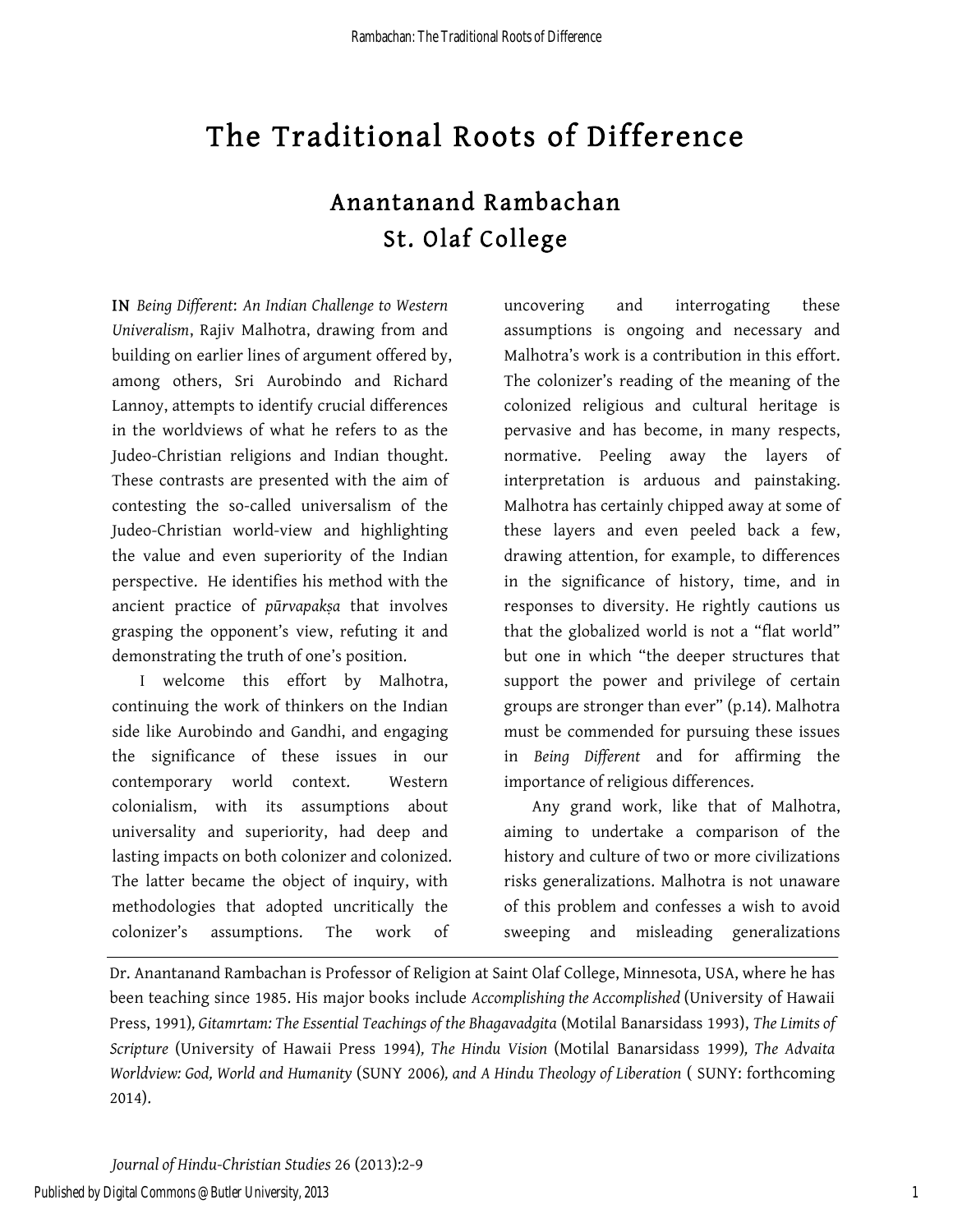# Anantanand Rambachan St. Olaf College

IN *Being Different*: *An Indian Challenge to Western Univeralism*, Rajiv Malhotra, drawing from and building on earlier lines of argument offered by, among others, Sri Aurobindo and Richard Lannoy, attempts to identify crucial differences in the worldviews of what he refers to as the Judeo-Christian religions and Indian thought. These contrasts are presented with the aim of contesting the so-called universalism of the Judeo-Christian world-view and highlighting the value and even superiority of the Indian perspective. He identifies his method with the ancient practice of *pūrvapakṣa* that involves grasping the opponent's view, refuting it and demonstrating the truth of one's position.

I welcome this effort by Malhotra, continuing the work of thinkers on the Indian side like Aurobindo and Gandhi, and engaging the significance of these issues in our contemporary world context. Western colonialism, with its assumptions about universality and superiority, had deep and lasting impacts on both colonizer and colonized. The latter became the object of inquiry, with methodologies that adopted uncritically the colonizer's assumptions. The work of

uncovering and interrogating these assumptions is ongoing and necessary and Malhotra's work is a contribution in this effort. The colonizer's reading of the meaning of the colonized religious and cultural heritage is pervasive and has become, in many respects, normative. Peeling away the layers of interpretation is arduous and painstaking. Malhotra has certainly chipped away at some of these layers and even peeled back a few, drawing attention, for example, to differences in the significance of history, time, and in responses to diversity. He rightly cautions us that the globalized world is not a "flat world" but one in which "the deeper structures that support the power and privilege of certain groups are stronger than ever" (p.14). Malhotra must be commended for pursuing these issues in *Being Different* and for affirming the importance of religious differences.

Any grand work, like that of Malhotra, aiming to undertake a comparison of the history and culture of two or more civilizations risks generalizations. Malhotra is not unaware of this problem and confesses a wish to avoid sweeping and misleading generalizations

Dr. Anantanand Rambachan is Professor of Religion at Saint Olaf College, Minnesota, USA, where he has been teaching since 1985. His major books include *Accomplishing the Accomplished* (University of Hawaii Press, 1991)*, Gitamrtam: The Essential Teachings of the Bhagavadgita* (Motilal Banarsidass 1993), *The Limits of Scripture* (University of Hawaii Press 1994)*, The Hindu Vision* (Motilal Banarsidass 1999)*, The Advaita Worldview: God, World and Humanity* (SUNY 2006)*, and A Hindu Theology of Liberation* ( SUNY: forthcoming 2014).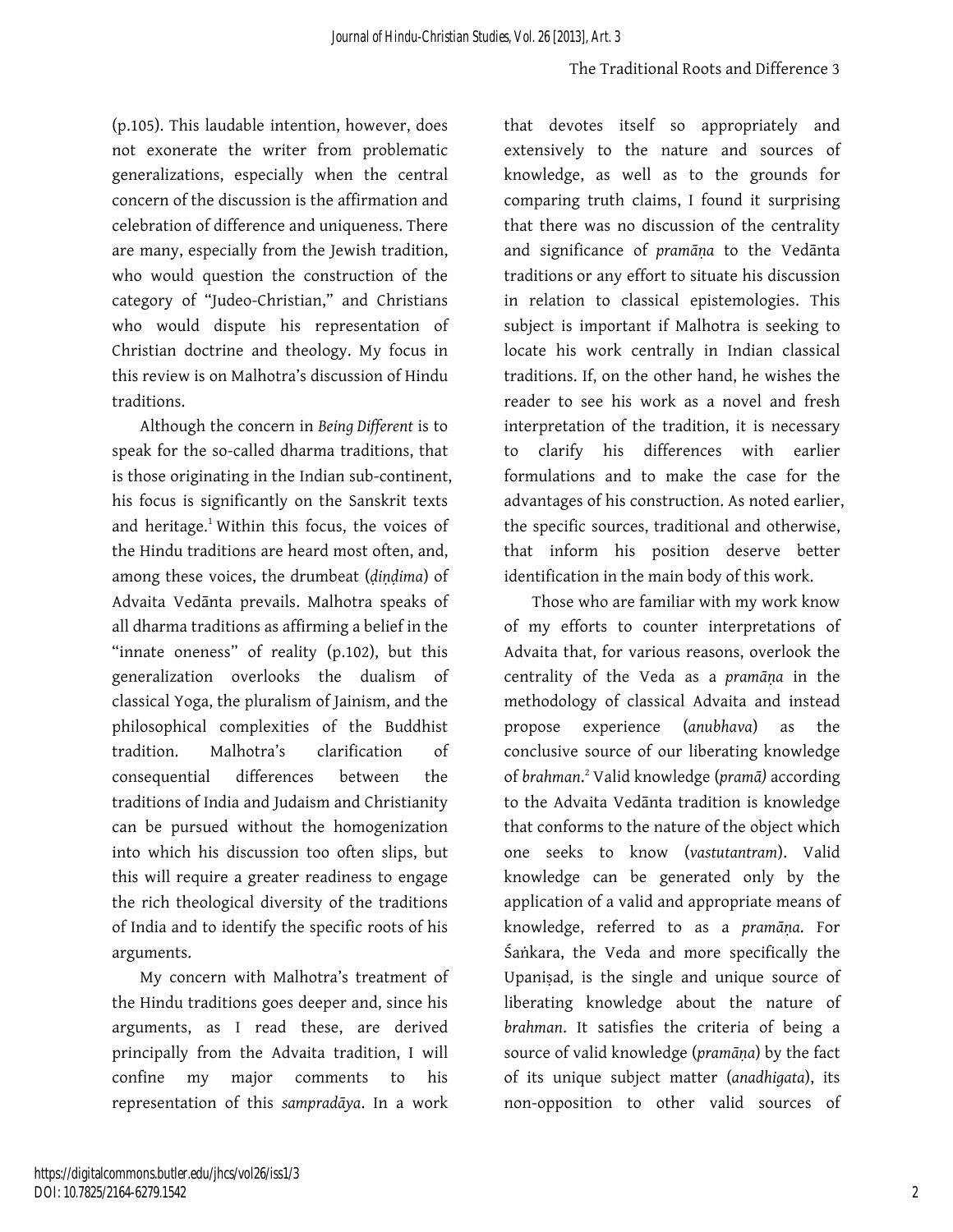(p.105). This laudable intention, however, does not exonerate the writer from problematic generalizations, especially when the central concern of the discussion is the affirmation and celebration of difference and uniqueness. There are many, especially from the Jewish tradition, who would question the construction of the category of "Judeo-Christian," and Christians who would dispute his representation of Christian doctrine and theology. My focus in this review is on Malhotra's discussion of Hindu traditions.

Although the concern in *Being Different* is to speak for the so-called dharma traditions, that is those originating in the Indian sub-continent, his focus is significantly on the Sanskrit texts and heritage.<sup>1</sup> Within this focus, the voices of the Hindu traditions are heard most often, and, among these voices, the drumbeat (*ḍiṇḍima*) of Advaita Vedānta prevails. Malhotra speaks of all dharma traditions as affirming a belief in the "innate oneness" of reality (p.102), but this generalization overlooks the dualism of classical Yoga, the pluralism of Jainism, and the philosophical complexities of the Buddhist tradition. Malhotra's clarification of consequential differences between the traditions of India and Judaism and Christianity can be pursued without the homogenization into which his discussion too often slips, but this will require a greater readiness to engage the rich theological diversity of the traditions of India and to identify the specific roots of his arguments.

My concern with Malhotra's treatment of the Hindu traditions goes deeper and, since his arguments, as I read these, are derived principally from the Advaita tradition, I will confine my major comments to his representation of this *sampradāya*. In a work that devotes itself so appropriately and extensively to the nature and sources of knowledge, as well as to the grounds for comparing truth claims, I found it surprising that there was no discussion of the centrality and significance of *pramāṇa* to the Vedānta traditions or any effort to situate his discussion in relation to classical epistemologies. This subject is important if Malhotra is seeking to locate his work centrally in Indian classical traditions. If, on the other hand, he wishes the reader to see his work as a novel and fresh interpretation of the tradition, it is necessary to clarify his differences with earlier formulations and to make the case for the advantages of his construction. As noted earlier, the specific sources, traditional and otherwise, that inform his position deserve better identification in the main body of this work.

Those who are familiar with my work know of my efforts to counter interpretations of Advaita that, for various reasons, overlook the centrality of the Veda as a *pramāṇa* in the methodology of classical Advaita and instead propose experience (*anubhava*) as the conclusive source of our liberating knowledge of *brahman*. <sup>2</sup> Valid knowledge (*pramā)* according to the Advaita Vedānta tradition is knowledge that conforms to the nature of the object which one seeks to know (*vastutantram*). Valid knowledge can be generated only by the application of a valid and appropriate means of knowledge, referred to as a *pramāṇa*. For Śaṅkara, the Veda and more specifically the Upaniṣad, is the single and unique source of liberating knowledge about the nature of *brahman*. It satisfies the criteria of being a source of valid knowledge (*pramāṇa*) by the fact of its unique subject matter (*anadhigata*), its non-opposition to other valid sources of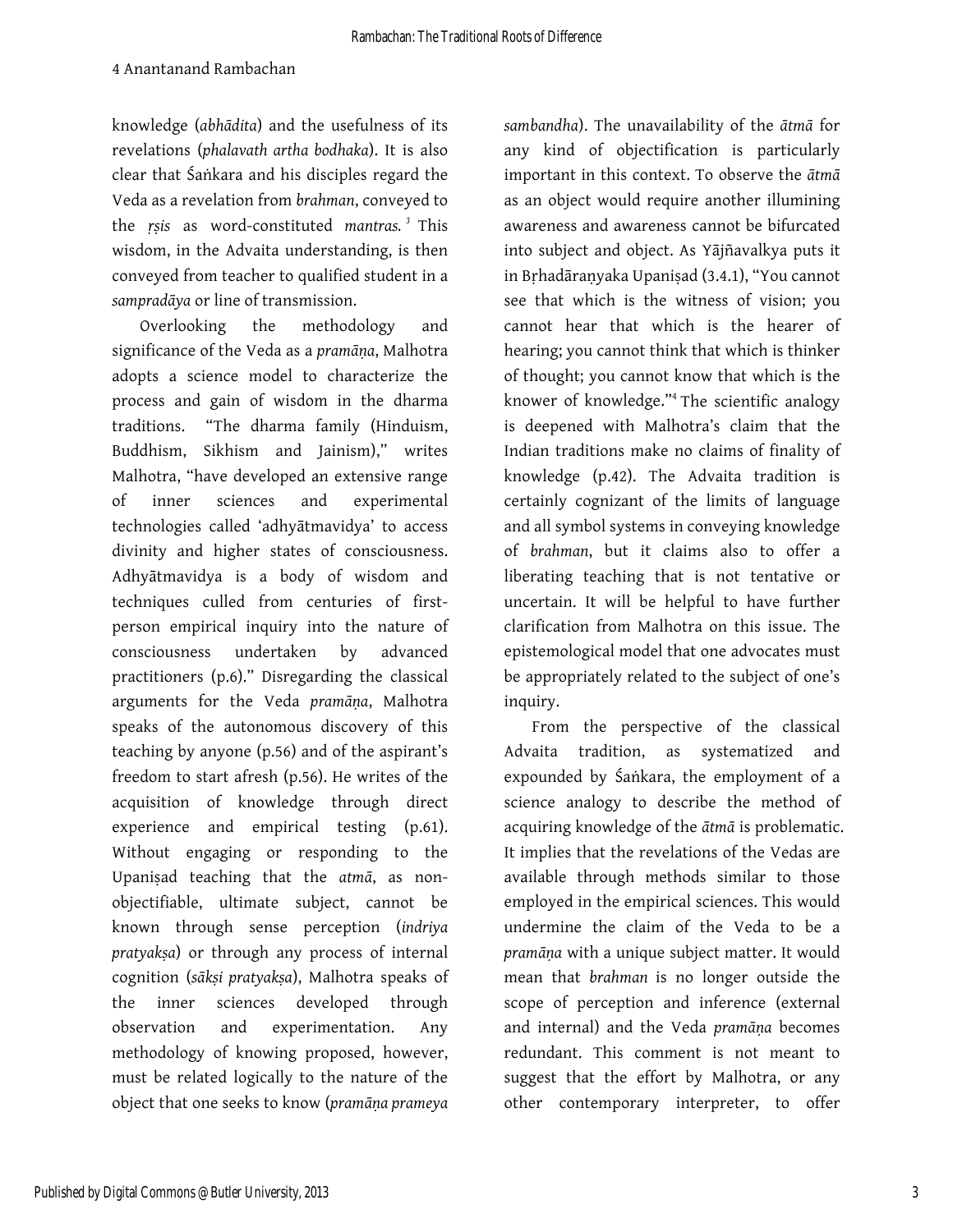knowledge (*abhādita*) and the usefulness of its revelations (*phalavath artha bodhaka*). It is also clear that Śaṅkara and his disciples regard the Veda as a revelation from *brahman*, conveyed to the *ṛṣis* as word-constituted *mantras. <sup>3</sup>* This wisdom, in the Advaita understanding, is then conveyed from teacher to qualified student in a *sampradāya* or line of transmission.

Overlooking the methodology and significance of the Veda as a *pramāṇa*, Malhotra adopts a science model to characterize the process and gain of wisdom in the dharma traditions. "The dharma family (Hinduism, Buddhism, Sikhism and Jainism)," writes Malhotra, "have developed an extensive range of inner sciences and experimental technologies called 'adhyātmavidya' to access divinity and higher states of consciousness. Adhyātmavidya is a body of wisdom and techniques culled from centuries of firstperson empirical inquiry into the nature of consciousness undertaken by advanced practitioners (p.6)." Disregarding the classical arguments for the Veda *pramāṇa*, Malhotra speaks of the autonomous discovery of this teaching by anyone (p.56) and of the aspirant's freedom to start afresh (p.56). He writes of the acquisition of knowledge through direct experience and empirical testing (p.61). Without engaging or responding to the Upaniṣad teaching that the *atmā*, as nonobjectifiable, ultimate subject, cannot be known through sense perception (*indriya pratyakṣa*) or through any process of internal cognition (*sākṣi pratyakṣa*), Malhotra speaks of the inner sciences developed through observation and experimentation. Any methodology of knowing proposed, however, must be related logically to the nature of the object that one seeks to know (*pramāṇa prameya* 

*sambandha*). The unavailability of the *ātmā* for any kind of objectification is particularly important in this context. To observe the *ātmā* as an object would require another illumining awareness and awareness cannot be bifurcated into subject and object. As Yājñavalkya puts it in Bṛhadāraṇyaka Upaniṣad (3.4.1), "You cannot see that which is the witness of vision; you cannot hear that which is the hearer of hearing; you cannot think that which is thinker of thought; you cannot know that which is the knower of knowledge."<sup>4</sup> The scientific analogy is deepened with Malhotra's claim that the Indian traditions make no claims of finality of knowledge (p.42). The Advaita tradition is certainly cognizant of the limits of language and all symbol systems in conveying knowledge of *brahman*, but it claims also to offer a liberating teaching that is not tentative or uncertain. It will be helpful to have further clarification from Malhotra on this issue. The epistemological model that one advocates must be appropriately related to the subject of one's inquiry.

From the perspective of the classical Advaita tradition, as systematized and expounded by Śaṅkara, the employment of a science analogy to describe the method of acquiring knowledge of the *ātmā* is problematic. It implies that the revelations of the Vedas are available through methods similar to those employed in the empirical sciences. This would undermine the claim of the Veda to be a *pramāṇa* with a unique subject matter. It would mean that *brahman* is no longer outside the scope of perception and inference (external and internal) and the Veda *pramāṇa* becomes redundant. This comment is not meant to suggest that the effort by Malhotra, or any other contemporary interpreter, to offer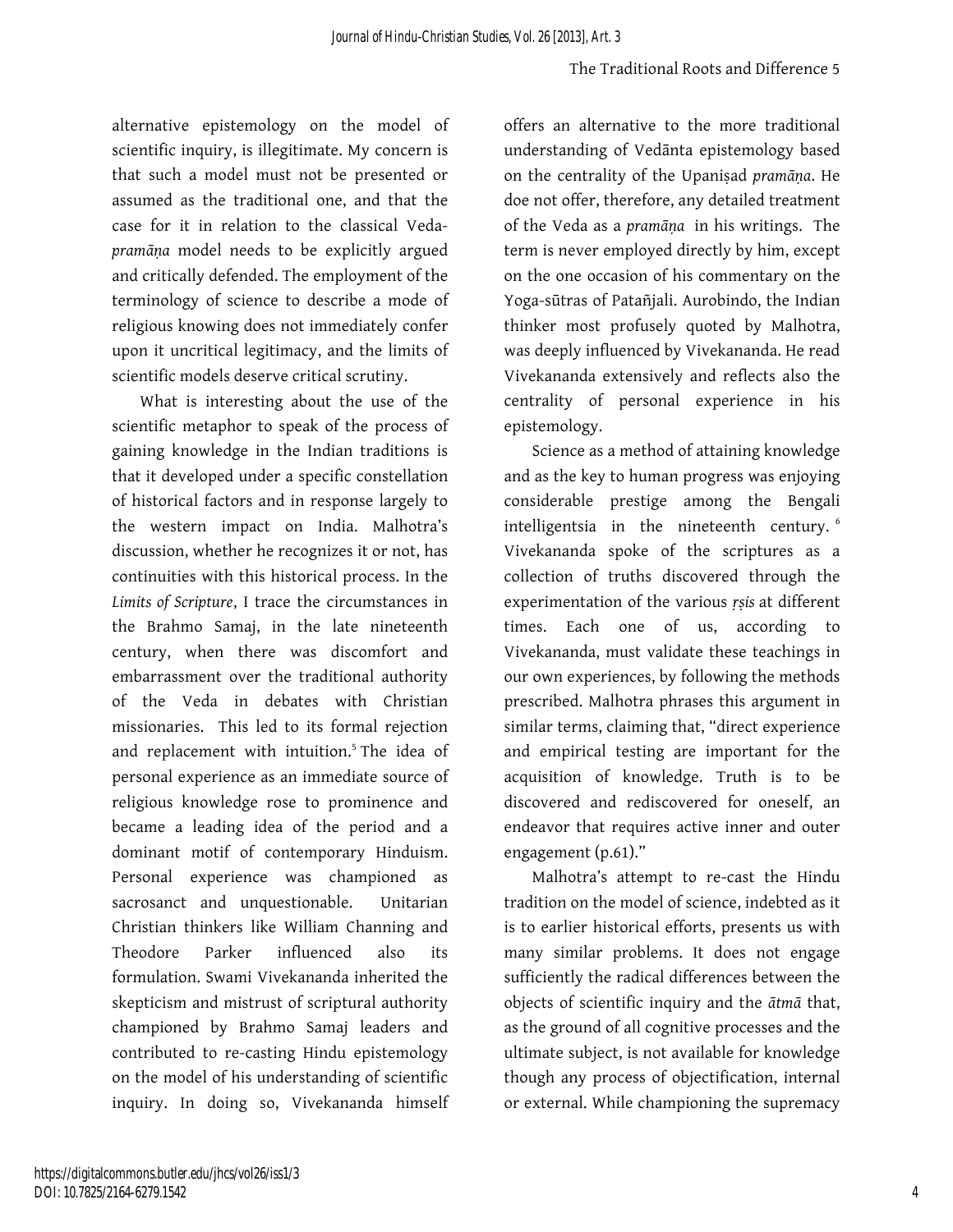alternative epistemology on the model of scientific inquiry, is illegitimate. My concern is that such a model must not be presented or assumed as the traditional one, and that the case for it in relation to the classical Veda*pramāṇa* model needs to be explicitly argued and critically defended. The employment of the terminology of science to describe a mode of religious knowing does not immediately confer upon it uncritical legitimacy, and the limits of scientific models deserve critical scrutiny.

What is interesting about the use of the scientific metaphor to speak of the process of gaining knowledge in the Indian traditions is that it developed under a specific constellation of historical factors and in response largely to the western impact on India. Malhotra's discussion, whether he recognizes it or not, has continuities with this historical process. In the *Limits of Scripture*, I trace the circumstances in the Brahmo Samaj, in the late nineteenth century, when there was discomfort and embarrassment over the traditional authority of the Veda in debates with Christian missionaries. This led to its formal rejection and replacement with intuition.<sup>5</sup> The idea of personal experience as an immediate source of religious knowledge rose to prominence and became a leading idea of the period and a dominant motif of contemporary Hinduism. Personal experience was championed as sacrosanct and unquestionable. Unitarian Christian thinkers like William Channing and Theodore Parker influenced also its formulation. Swami Vivekananda inherited the skepticism and mistrust of scriptural authority championed by Brahmo Samaj leaders and contributed to re-casting Hindu epistemology on the model of his understanding of scientific inquiry. In doing so, Vivekananda himself

offers an alternative to the more traditional understanding of Vedānta epistemology based on the centrality of the Upaniṣad *pramāṇa*. He doe not offer, therefore, any detailed treatment of the Veda as a *pramāṇa* in his writings. The term is never employed directly by him, except on the one occasion of his commentary on the Yoga-sūtras of Patañjali. Aurobindo, the Indian thinker most profusely quoted by Malhotra, was deeply influenced by Vivekananda. He read Vivekananda extensively and reflects also the centrality of personal experience in his epistemology.

Science as a method of attaining knowledge and as the key to human progress was enjoying considerable prestige among the Bengali intelligentsia in the nineteenth century. <sup>6</sup> Vivekananda spoke of the scriptures as a collection of truths discovered through the experimentation of the various *ṛṣis* at different times. Each one of us, according to Vivekananda, must validate these teachings in our own experiences, by following the methods prescribed. Malhotra phrases this argument in similar terms, claiming that, "direct experience and empirical testing are important for the acquisition of knowledge. Truth is to be discovered and rediscovered for oneself, an endeavor that requires active inner and outer engagement (p.61)."

Malhotra's attempt to re-cast the Hindu tradition on the model of science, indebted as it is to earlier historical efforts, presents us with many similar problems. It does not engage sufficiently the radical differences between the objects of scientific inquiry and the *ātmā* that, as the ground of all cognitive processes and the ultimate subject, is not available for knowledge though any process of objectification, internal or external. While championing the supremacy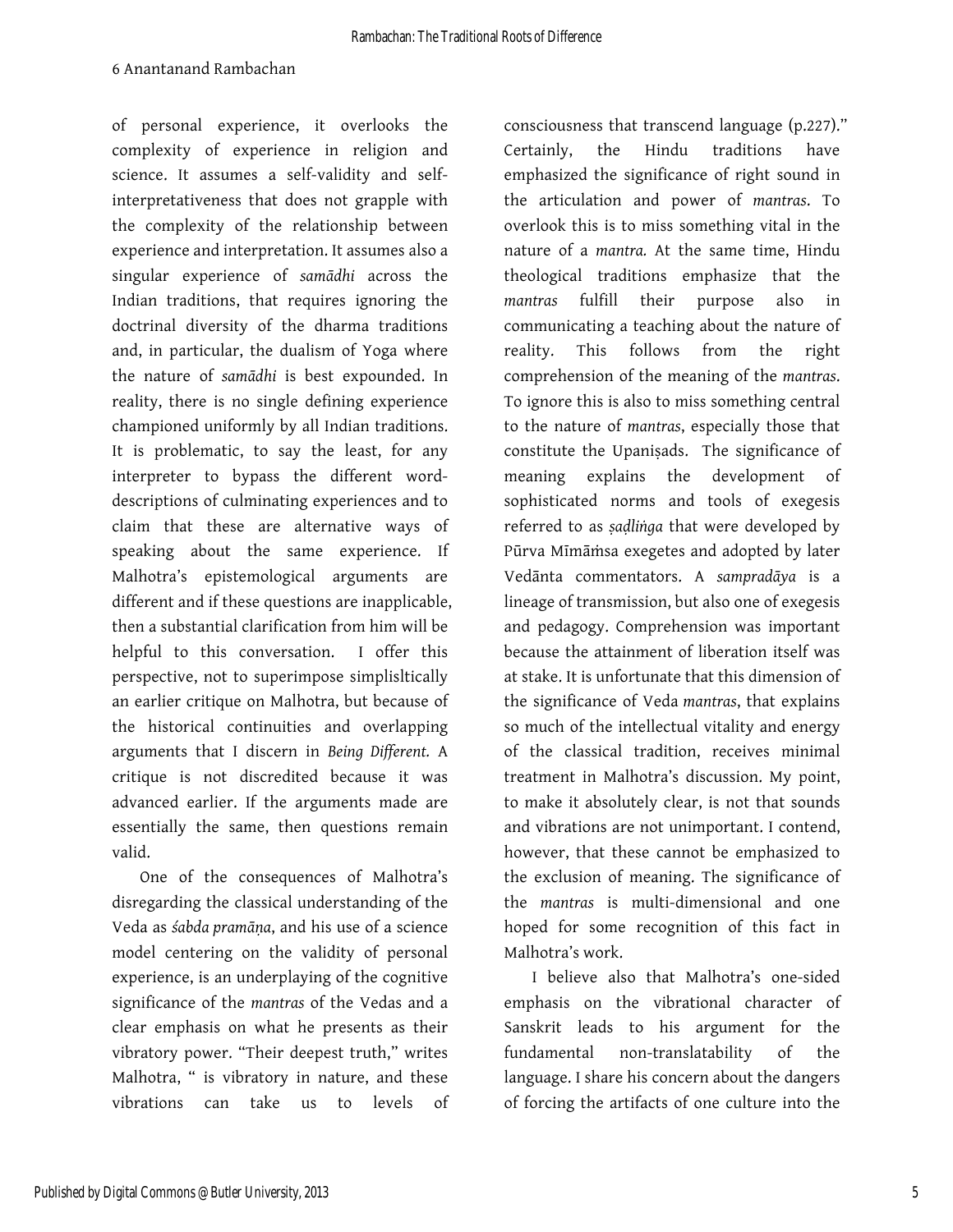of personal experience, it overlooks the complexity of experience in religion and science. It assumes a self-validity and selfinterpretativeness that does not grapple with the complexity of the relationship between experience and interpretation. It assumes also a singular experience of *samādhi* across the Indian traditions, that requires ignoring the doctrinal diversity of the dharma traditions and, in particular, the dualism of Yoga where the nature of *samādhi* is best expounded. In reality, there is no single defining experience championed uniformly by all Indian traditions. It is problematic, to say the least, for any interpreter to bypass the different worddescriptions of culminating experiences and to claim that these are alternative ways of speaking about the same experience. If Malhotra's epistemological arguments are different and if these questions are inapplicable, then a substantial clarification from him will be helpful to this conversation. I offer this perspective, not to superimpose simplisltically an earlier critique on Malhotra, but because of the historical continuities and overlapping arguments that I discern in *Being Different.* A critique is not discredited because it was advanced earlier. If the arguments made are essentially the same, then questions remain valid.

One of the consequences of Malhotra's disregarding the classical understanding of the Veda as *śabda pramāṇa*, and his use of a science model centering on the validity of personal experience, is an underplaying of the cognitive significance of the *mantras* of the Vedas and a clear emphasis on what he presents as their vibratory power. "Their deepest truth," writes Malhotra, " is vibratory in nature, and these vibrations can take us to levels of consciousness that transcend language (p.227)." Certainly, the Hindu traditions have emphasized the significance of right sound in the articulation and power of *mantras*. To overlook this is to miss something vital in the nature of a *mantra.* At the same time, Hindu theological traditions emphasize that the *mantras* fulfill their purpose also in communicating a teaching about the nature of reality. This follows from the right comprehension of the meaning of the *mantras*. To ignore this is also to miss something central to the nature of *mantras*, especially those that constitute the Upaniṣads. The significance of meaning explains the development of sophisticated norms and tools of exegesis referred to as *ṣaḍliṅga* that were developed by Pūrva Mīmāṁsa exegetes and adopted by later Vedānta commentators. A *sampradāya* is a lineage of transmission, but also one of exegesis and pedagogy. Comprehension was important because the attainment of liberation itself was at stake. It is unfortunate that this dimension of the significance of Veda *mantras*, that explains so much of the intellectual vitality and energy of the classical tradition, receives minimal treatment in Malhotra's discussion. My point, to make it absolutely clear, is not that sounds and vibrations are not unimportant. I contend, however, that these cannot be emphasized to the exclusion of meaning. The significance of the *mantras* is multi-dimensional and one hoped for some recognition of this fact in Malhotra's work.

I believe also that Malhotra's one-sided emphasis on the vibrational character of Sanskrit leads to his argument for the fundamental non-translatability of the language. I share his concern about the dangers of forcing the artifacts of one culture into the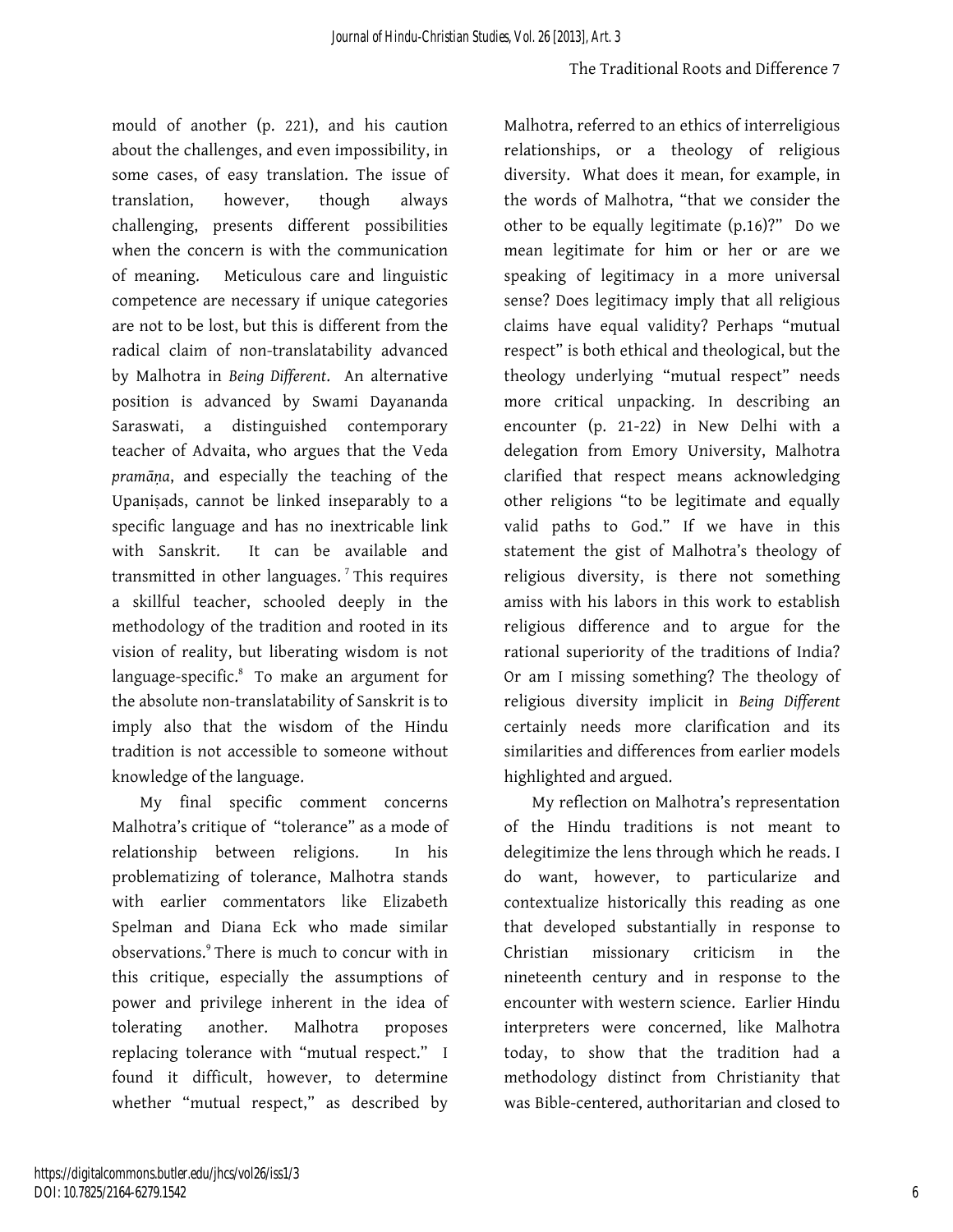mould of another (p. 221), and his caution about the challenges, and even impossibility, in some cases, of easy translation. The issue of translation, however, though always challenging, presents different possibilities when the concern is with the communication of meaning. Meticulous care and linguistic competence are necessary if unique categories are not to be lost, but this is different from the radical claim of non-translatability advanced by Malhotra in *Being Different*. An alternative position is advanced by Swami Dayananda Saraswati, a distinguished contemporary teacher of Advaita, who argues that the Veda *pramāṇa*, and especially the teaching of the Upaniṣads, cannot be linked inseparably to a specific language and has no inextricable link with Sanskrit. It can be available and transmitted in other languages.<sup> $7$ </sup>This requires a skillful teacher, schooled deeply in the methodology of the tradition and rooted in its vision of reality, but liberating wisdom is not language-specific.<sup>8</sup> To make an argument for the absolute non-translatability of Sanskrit is to imply also that the wisdom of the Hindu tradition is not accessible to someone without knowledge of the language.

My final specific comment concerns Malhotra's critique of "tolerance" as a mode of relationship between religions. In his problematizing of tolerance, Malhotra stands with earlier commentators like Elizabeth Spelman and Diana Eck who made similar observations.<sup>9</sup> There is much to concur with in this critique, especially the assumptions of power and privilege inherent in the idea of tolerating another. Malhotra proposes replacing tolerance with "mutual respect." I found it difficult, however, to determine whether "mutual respect," as described by

Malhotra, referred to an ethics of interreligious relationships, or a theology of religious diversity. What does it mean, for example, in the words of Malhotra, "that we consider the other to be equally legitimate (p.16)?" Do we mean legitimate for him or her or are we speaking of legitimacy in a more universal sense? Does legitimacy imply that all religious claims have equal validity? Perhaps "mutual respect" is both ethical and theological, but the theology underlying "mutual respect" needs more critical unpacking. In describing an encounter (p. 21-22) in New Delhi with a delegation from Emory University, Malhotra clarified that respect means acknowledging other religions "to be legitimate and equally valid paths to God." If we have in this statement the gist of Malhotra's theology of religious diversity, is there not something amiss with his labors in this work to establish religious difference and to argue for the rational superiority of the traditions of India? Or am I missing something? The theology of religious diversity implicit in *Being Different*  certainly needs more clarification and its similarities and differences from earlier models highlighted and argued.

My reflection on Malhotra's representation of the Hindu traditions is not meant to delegitimize the lens through which he reads. I do want, however, to particularize and contextualize historically this reading as one that developed substantially in response to Christian missionary criticism in the nineteenth century and in response to the encounter with western science. Earlier Hindu interpreters were concerned, like Malhotra today, to show that the tradition had a methodology distinct from Christianity that was Bible-centered, authoritarian and closed to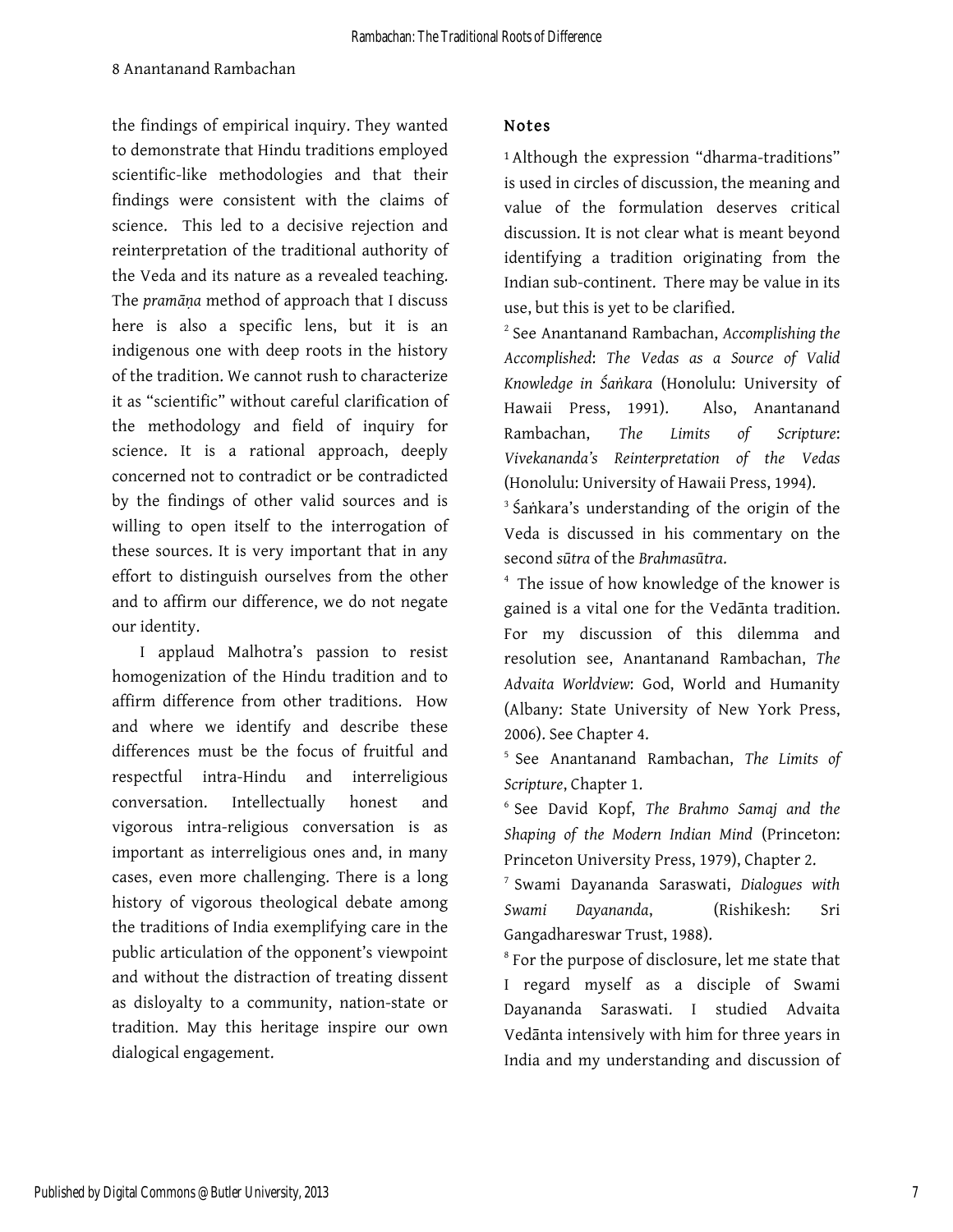the findings of empirical inquiry. They wanted to demonstrate that Hindu traditions employed scientific-like methodologies and that their findings were consistent with the claims of science. This led to a decisive rejection and reinterpretation of the traditional authority of the Veda and its nature as a revealed teaching. The *pramāṇa* method of approach that I discuss here is also a specific lens, but it is an indigenous one with deep roots in the history of the tradition. We cannot rush to characterize it as "scientific" without careful clarification of the methodology and field of inquiry for science. It is a rational approach, deeply concerned not to contradict or be contradicted by the findings of other valid sources and is willing to open itself to the interrogation of these sources. It is very important that in any effort to distinguish ourselves from the other and to affirm our difference, we do not negate our identity.

I applaud Malhotra's passion to resist homogenization of the Hindu tradition and to affirm difference from other traditions. How and where we identify and describe these differences must be the focus of fruitful and respectful intra-Hindu and interreligious conversation. Intellectually honest and vigorous intra-religious conversation is as important as interreligious ones and, in many cases, even more challenging. There is a long history of vigorous theological debate among the traditions of India exemplifying care in the public articulation of the opponent's viewpoint and without the distraction of treating dissent as disloyalty to a community, nation-state or tradition. May this heritage inspire our own dialogical engagement.

### Notes

<sup>1</sup>Although the expression "dharma-traditions" is used in circles of discussion, the meaning and value of the formulation deserves critical discussion. It is not clear what is meant beyond identifying a tradition originating from the Indian sub-continent. There may be value in its use, but this is yet to be clarified.

<sup>2</sup> See Anantanand Rambachan, *Accomplishing the Accomplished*: *The Vedas as a Source of Valid Knowledge in Śaṅkara* (Honolulu: University of Hawaii Press, 1991). Also, Anantanand Rambachan, *The Limits of Scripture*: *Vivekananda's Reinterpretation of the Vedas* (Honolulu: University of Hawaii Press, 1994).

<sup>3</sup> Śaṅkara's understanding of the origin of the Veda is discussed in his commentary on the second *sūtra* of the *Brahmasūtra*.

<sup>4</sup> The issue of how knowledge of the knower is gained is a vital one for the Vedānta tradition. For my discussion of this dilemma and resolution see, Anantanand Rambachan, *The Advaita Worldview*: God, World and Humanity (Albany: State University of New York Press, 2006). See Chapter 4.

<sup>5</sup> See Anantanand Rambachan, *The Limits of Scripture*, Chapter 1.

<sup>6</sup> See David Kopf, *The Brahmo Samaj and the Shaping of the Modern Indian Mind* (Princeton: Princeton University Press, 1979), Chapter 2.

<sup>7</sup> Swami Dayananda Saraswati, *Dialogues with Swami Dayananda*, (Rishikesh: Sri Gangadhareswar Trust, 1988).

<sup>8</sup> For the purpose of disclosure, let me state that I regard myself as a disciple of Swami Dayananda Saraswati. I studied Advaita Vedānta intensively with him for three years in India and my understanding and discussion of